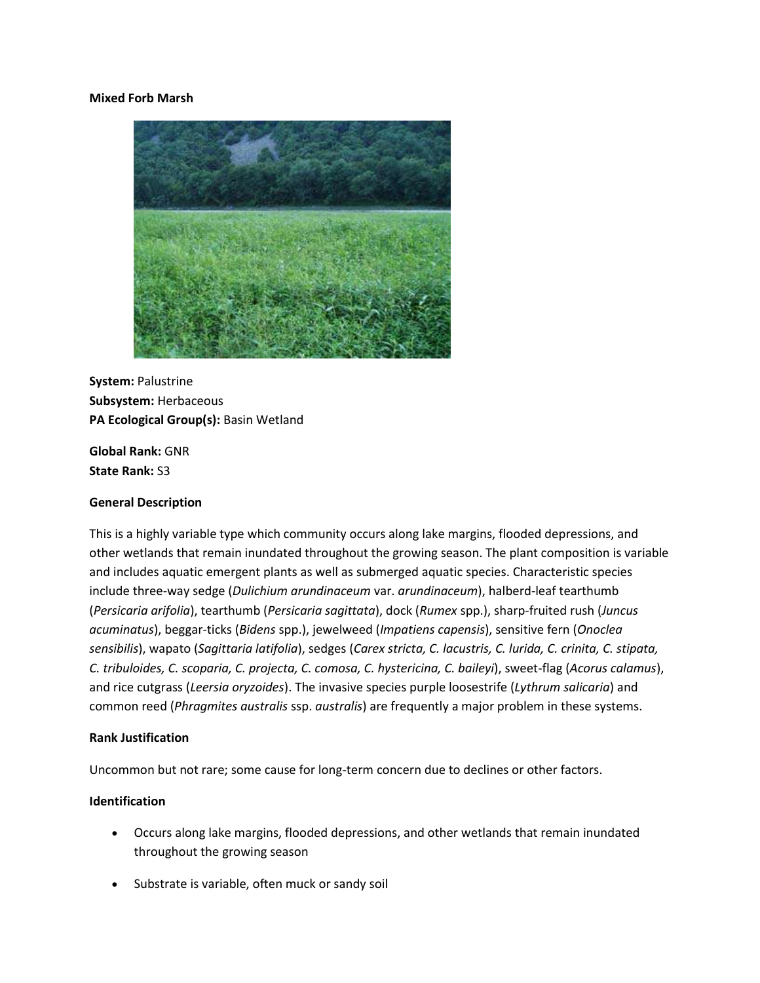### **Mixed Forb Marsh**



**System:** Palustrine **Subsystem:** Herbaceous **PA Ecological Group(s):** Basin Wetland

**Global Rank:** GNR **State Rank:** S3

# **General Description**

This is a highly variable type which community occurs along lake margins, flooded depressions, and other wetlands that remain inundated throughout the growing season. The plant composition is variable and includes aquatic emergent plants as well as submerged aquatic species. Characteristic species include three-way sedge (*Dulichium arundinaceum* var. *arundinaceum*), halberd-leaf tearthumb (*Persicaria arifolia*), tearthumb (*Persicaria sagittata*), dock (*Rumex* spp.), sharp-fruited rush (*Juncus acuminatus*), beggar-ticks (*Bidens* spp.), jewelweed (*Impatiens capensis*), sensitive fern (*Onoclea sensibilis*), wapato (*Sagittaria latifolia*), sedges (*Carex stricta, C. lacustris, C. lurida, C. crinita, C. stipata, C. tribuloides, C. scoparia, C. projecta, C. comosa, C. hystericina, C. baileyi*), sweet-flag (*Acorus calamus*), and rice cutgrass (*Leersia oryzoides*). The invasive species purple loosestrife (*Lythrum salicaria*) and common reed (*Phragmites australis* ssp. *australis*) are frequently a major problem in these systems.

### **Rank Justification**

Uncommon but not rare; some cause for long-term concern due to declines or other factors.

# **Identification**

- Occurs along lake margins, flooded depressions, and other wetlands that remain inundated throughout the growing season
- Substrate is variable, often muck or sandy soil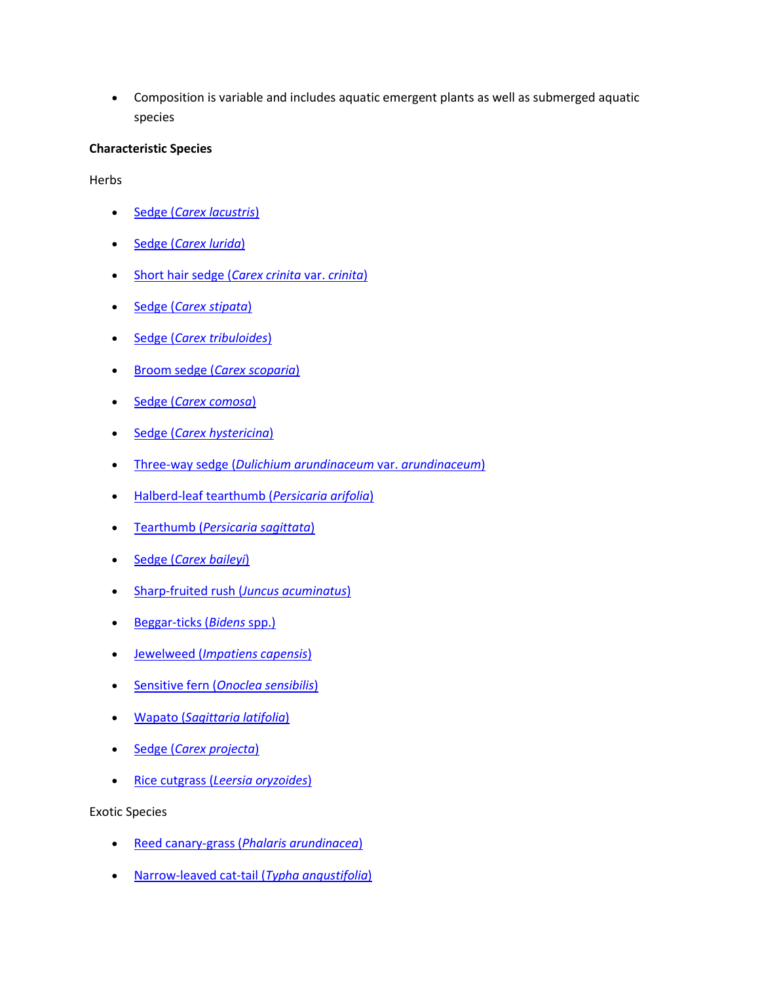Composition is variable and includes aquatic emergent plants as well as submerged aquatic species

# **Characteristic Species**

**Herbs** 

- Sedge (*[Carex lacustris](http://www.natureserve.org/explorer/servlet/NatureServe?searchName=Carex+lacustris)*)
- Sedge (*[Carex lurida](http://www.natureserve.org/explorer/servlet/NatureServe?searchName=Carex+lurida)*)
- [Short hair sedge \(](http://www.natureserve.org/explorer/servlet/NatureServe?searchName=Carex+crinita+var.+crinita)*Carex crinita* var. *crinita*)
- Sedge (*[Carex stipata](http://www.natureserve.org/explorer/servlet/NatureServe?searchName=Carex+stipata)*)
- Sedge (*[Carex tribuloides](http://www.natureserve.org/explorer/servlet/NatureServe?searchName=Carex+tribuloides)*)
- Broom sedge (*[Carex scoparia](http://www.natureserve.org/explorer/servlet/NatureServe?searchName=Carex+scoparia)*)
- Sedge (*[Carex comosa](http://www.natureserve.org/explorer/servlet/NatureServe?searchName=Carex+comosa)*)
- Sedge (*[Carex hystericina](http://www.natureserve.org/explorer/servlet/NatureServe?searchName=Carex+hystericina)*)
- Three-way sedge (*[Dulichium arundinaceum](http://www.natureserve.org/explorer/servlet/NatureServe?searchName=Dulichium+arundinaceum+var.+arundinaceum)* var. *arundinaceum*)
- [Halberd-leaf tearthumb \(](http://www.natureserve.org/explorer/servlet/NatureServe?searchName=Polygonum+arifolium%20)*Persicaria arifolia*)
- Tearthumb (*[Persicaria sagittata](http://www.natureserve.org/explorer/servlet/NatureServe?searchName=Polygonum+sagittatum%20)*)
- Sedge (*[Carex baileyi](http://www.natureserve.org/explorer/servlet/NatureServe?searchName=Carex+baileyi)*)
- [Sharp-fruited rush \(](http://www.natureserve.org/explorer/servlet/NatureServe?searchName=Juncus+acuminatus)*Juncus acuminatus*)
- [Beggar-ticks \(](http://www.natureserve.org/explorer/servlet/NatureServe?searchSciOrCommonName=bidens)*Bidens* spp.)
- Jewelweed (*[Impatiens capensis](http://www.natureserve.org/explorer/servlet/NatureServe?searchName=Impatiens+capensis)*)
- Sensitive fern (*[Onoclea sensibilis](http://www.natureserve.org/explorer/servlet/NatureServe?searchName=Onoclea+sensibilis)*)
- Wapato (*[Sagittaria latifolia](http://www.natureserve.org/explorer/servlet/NatureServe?searchName=Sagittaria+latifolia)*)
- Sedge (*[Carex projecta](http://www.natureserve.org/explorer/servlet/NatureServe?searchName=Carex+projecta)*)
- Rice cutgrass (*[Leersia oryzoides](http://www.natureserve.org/explorer/servlet/NatureServe?searchName=Leersia+oryzoides)*)

Exotic Species

- Reed canary-grass (*[Phalaris arundinacea](http://www.natureserve.org/explorer/servlet/NatureServe?searchName=Phalaris+arundinacea)*)
- [Narrow-leaved cat-tail \(](http://www.natureserve.org/explorer/servlet/NatureServe?searchName=Typha+angustifolia)*Typha angustifolia*)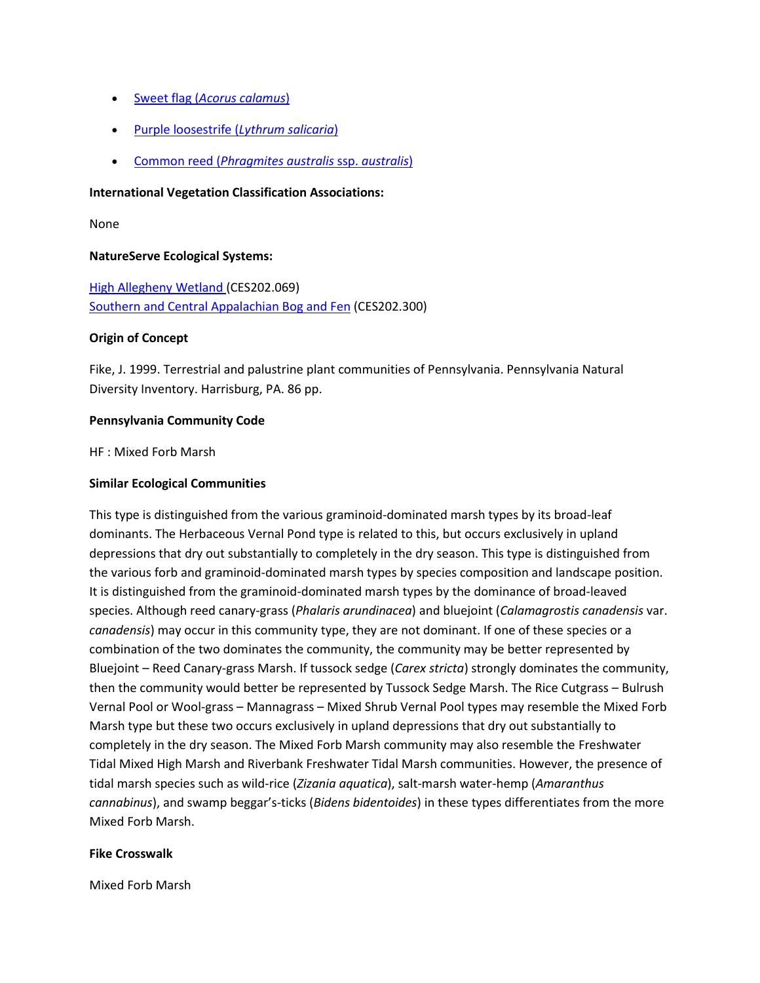- Sweet flag (*[Acorus calamus](http://www.natureserve.org/explorer/servlet/NatureServe?searchName=Acorus+calamus)*)
- [Purple loosestrife \(](http://www.natureserve.org/explorer/servlet/NatureServe?searchName=Lythrum+salicaria)*Lythrum salicaria*)
- Common reed (*[Phragmites australis](http://www.natureserve.org/explorer/servlet/NatureServe?searchName=Phragmites+australis+ssp.+australis)* ssp. *australis*)

#### **International Vegetation Classification Associations:**

None

### **NatureServe Ecological Systems:**

[High Allegheny Wetland \(](http://www.natureserve.org/explorer/servlet/NatureServe?searchSystemUid=ELEMENT_GLOBAL.2.800809)CES202.069) [Southern and Central Appalachian Bog and Fen](http://www.natureserve.org/explorer/servlet/NatureServe?searchSystemUid=ELEMENT_GLOBAL.2.723191) (CES202.300)

### **Origin of Concept**

Fike, J. 1999. Terrestrial and palustrine plant communities of Pennsylvania. Pennsylvania Natural Diversity Inventory. Harrisburg, PA. 86 pp.

### **Pennsylvania Community Code**

HF : Mixed Forb Marsh

### **Similar Ecological Communities**

This type is distinguished from the various graminoid-dominated marsh types by its broad-leaf dominants. The Herbaceous Vernal Pond type is related to this, but occurs exclusively in upland depressions that dry out substantially to completely in the dry season. This type is distinguished from the various forb and graminoid-dominated marsh types by species composition and landscape position. It is distinguished from the graminoid-dominated marsh types by the dominance of broad-leaved species. Although reed canary-grass (*Phalaris arundinacea*) and bluejoint (*Calamagrostis canadensis* var. *canadensis*) may occur in this community type, they are not dominant. If one of these species or a combination of the two dominates the community, the community may be better represented by Bluejoint – Reed Canary-grass Marsh. If tussock sedge (*Carex stricta*) strongly dominates the community, then the community would better be represented by Tussock Sedge Marsh. The Rice Cutgrass – Bulrush Vernal Pool or Wool-grass – Mannagrass – Mixed Shrub Vernal Pool types may resemble the Mixed Forb Marsh type but these two occurs exclusively in upland depressions that dry out substantially to completely in the dry season. The Mixed Forb Marsh community may also resemble the Freshwater Tidal Mixed High Marsh and Riverbank Freshwater Tidal Marsh communities. However, the presence of tidal marsh species such as wild-rice (*Zizania aquatica*), salt-marsh water-hemp (*Amaranthus cannabinus*), and swamp beggar's-ticks (*Bidens bidentoides*) in these types differentiates from the more Mixed Forb Marsh.

#### **Fike Crosswalk**

Mixed Forb Marsh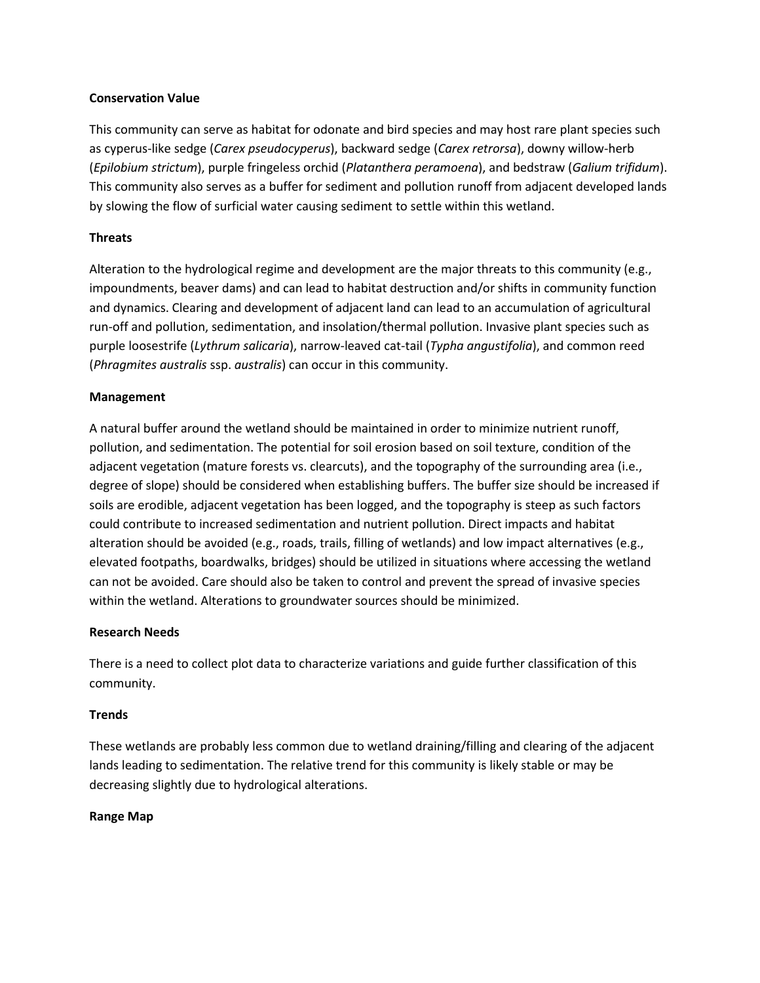# **Conservation Value**

This community can serve as habitat for odonate and bird species and may host rare plant species such as cyperus-like sedge (*Carex pseudocyperus*), backward sedge (*Carex retrorsa*), downy willow-herb (*Epilobium strictum*), purple fringeless orchid (*Platanthera peramoena*), and bedstraw (*Galium trifidum*). This community also serves as a buffer for sediment and pollution runoff from adjacent developed lands by slowing the flow of surficial water causing sediment to settle within this wetland.

# **Threats**

Alteration to the hydrological regime and development are the major threats to this community (e.g., impoundments, beaver dams) and can lead to habitat destruction and/or shifts in community function and dynamics. Clearing and development of adjacent land can lead to an accumulation of agricultural run-off and pollution, sedimentation, and insolation/thermal pollution. Invasive plant species such as purple loosestrife (*Lythrum salicaria*), narrow-leaved cat-tail (*Typha angustifolia*), and common reed (*Phragmites australis* ssp. *australis*) can occur in this community.

# **Management**

A natural buffer around the wetland should be maintained in order to minimize nutrient runoff, pollution, and sedimentation. The potential for soil erosion based on soil texture, condition of the adjacent vegetation (mature forests vs. clearcuts), and the topography of the surrounding area (i.e., degree of slope) should be considered when establishing buffers. The buffer size should be increased if soils are erodible, adjacent vegetation has been logged, and the topography is steep as such factors could contribute to increased sedimentation and nutrient pollution. Direct impacts and habitat alteration should be avoided (e.g., roads, trails, filling of wetlands) and low impact alternatives (e.g., elevated footpaths, boardwalks, bridges) should be utilized in situations where accessing the wetland can not be avoided. Care should also be taken to control and prevent the spread of invasive species within the wetland. Alterations to groundwater sources should be minimized.

# **Research Needs**

There is a need to collect plot data to characterize variations and guide further classification of this community.

# **Trends**

These wetlands are probably less common due to wetland draining/filling and clearing of the adjacent lands leading to sedimentation. The relative trend for this community is likely stable or may be decreasing slightly due to hydrological alterations.

# **Range Map**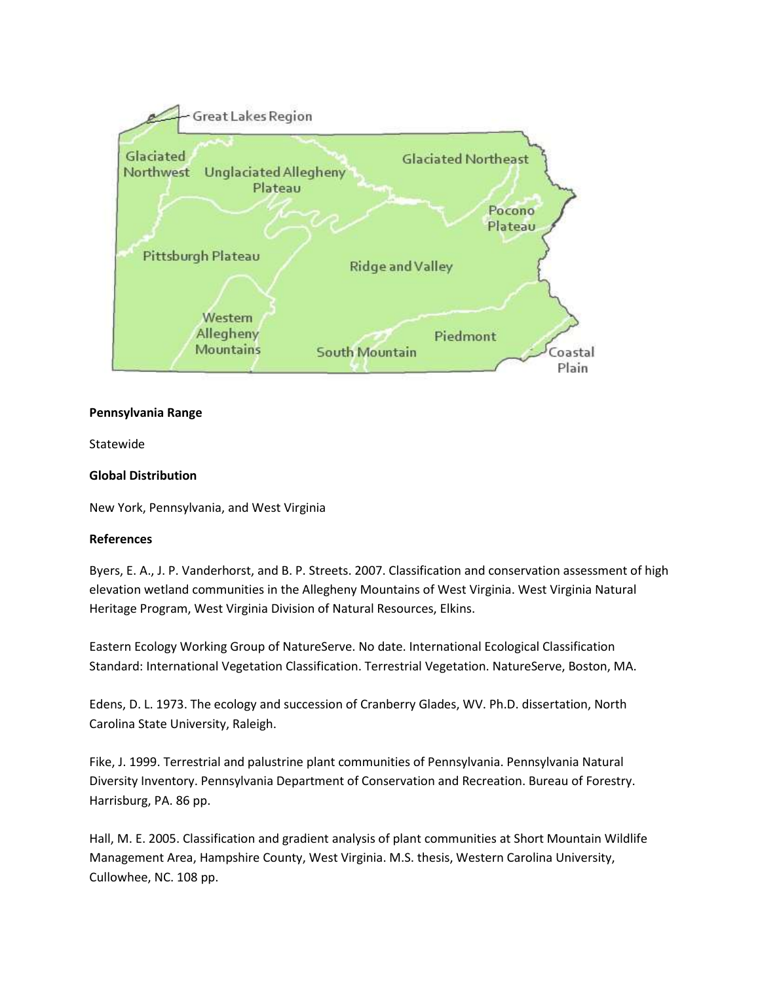

### **Pennsylvania Range**

Statewide

# **Global Distribution**

New York, Pennsylvania, and West Virginia

### **References**

Byers, E. A., J. P. Vanderhorst, and B. P. Streets. 2007. Classification and conservation assessment of high elevation wetland communities in the Allegheny Mountains of West Virginia. West Virginia Natural Heritage Program, West Virginia Division of Natural Resources, Elkins.

Eastern Ecology Working Group of NatureServe. No date. International Ecological Classification Standard: International Vegetation Classification. Terrestrial Vegetation. NatureServe, Boston, MA.

Edens, D. L. 1973. The ecology and succession of Cranberry Glades, WV. Ph.D. dissertation, North Carolina State University, Raleigh.

Fike, J. 1999. Terrestrial and palustrine plant communities of Pennsylvania. Pennsylvania Natural Diversity Inventory. Pennsylvania Department of Conservation and Recreation. Bureau of Forestry. Harrisburg, PA. 86 pp.

Hall, M. E. 2005. Classification and gradient analysis of plant communities at Short Mountain Wildlife Management Area, Hampshire County, West Virginia. M.S. thesis, Western Carolina University, Cullowhee, NC. 108 pp.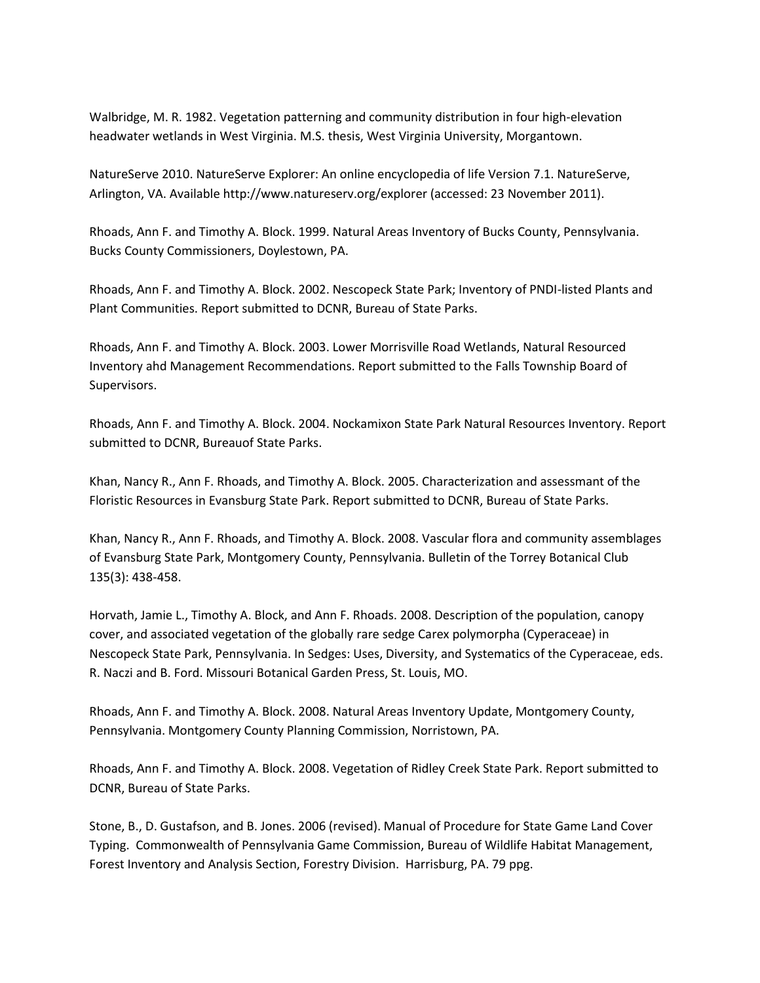Walbridge, M. R. 1982. Vegetation patterning and community distribution in four high-elevation headwater wetlands in West Virginia. M.S. thesis, West Virginia University, Morgantown.

NatureServe 2010. NatureServe Explorer: An online encyclopedia of life Version 7.1. NatureServe, Arlington, VA. Available http://www.natureserv.org/explorer (accessed: 23 November 2011).

Rhoads, Ann F. and Timothy A. Block. 1999. Natural Areas Inventory of Bucks County, Pennsylvania. Bucks County Commissioners, Doylestown, PA.

Rhoads, Ann F. and Timothy A. Block. 2002. Nescopeck State Park; Inventory of PNDI-listed Plants and Plant Communities. Report submitted to DCNR, Bureau of State Parks.

Rhoads, Ann F. and Timothy A. Block. 2003. Lower Morrisville Road Wetlands, Natural Resourced Inventory ahd Management Recommendations. Report submitted to the Falls Township Board of Supervisors.

Rhoads, Ann F. and Timothy A. Block. 2004. Nockamixon State Park Natural Resources Inventory. Report submitted to DCNR, Bureauof State Parks.

Khan, Nancy R., Ann F. Rhoads, and Timothy A. Block. 2005. Characterization and assessmant of the Floristic Resources in Evansburg State Park. Report submitted to DCNR, Bureau of State Parks.

Khan, Nancy R., Ann F. Rhoads, and Timothy A. Block. 2008. Vascular flora and community assemblages of Evansburg State Park, Montgomery County, Pennsylvania. Bulletin of the Torrey Botanical Club 135(3): 438-458.

Horvath, Jamie L., Timothy A. Block, and Ann F. Rhoads. 2008. Description of the population, canopy cover, and associated vegetation of the globally rare sedge Carex polymorpha (Cyperaceae) in Nescopeck State Park, Pennsylvania. In Sedges: Uses, Diversity, and Systematics of the Cyperaceae, eds. R. Naczi and B. Ford. Missouri Botanical Garden Press, St. Louis, MO.

Rhoads, Ann F. and Timothy A. Block. 2008. Natural Areas Inventory Update, Montgomery County, Pennsylvania. Montgomery County Planning Commission, Norristown, PA.

Rhoads, Ann F. and Timothy A. Block. 2008. Vegetation of Ridley Creek State Park. Report submitted to DCNR, Bureau of State Parks.

Stone, B., D. Gustafson, and B. Jones. 2006 (revised). Manual of Procedure for State Game Land Cover Typing. Commonwealth of Pennsylvania Game Commission, Bureau of Wildlife Habitat Management, Forest Inventory and Analysis Section, Forestry Division. Harrisburg, PA. 79 ppg.